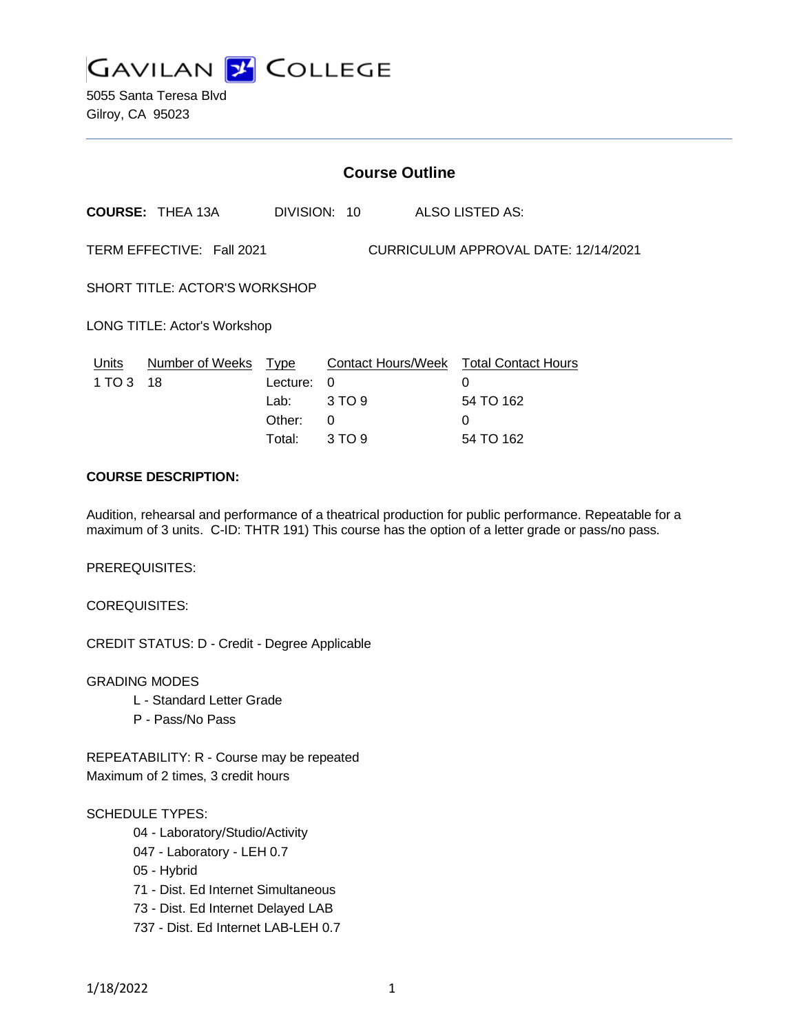

5055 Santa Teresa Blvd Gilroy, CA 95023

|                                                                   | <b>Course Outline</b>   |             |              |  |                                        |  |
|-------------------------------------------------------------------|-------------------------|-------------|--------------|--|----------------------------------------|--|
|                                                                   | <b>COURSE: THEA 13A</b> |             | DIVISION: 10 |  | ALSO LISTED AS:                        |  |
| TERM EFFECTIVE: Fall 2021<br>CURRICULUM APPROVAL DATE: 12/14/2021 |                         |             |              |  |                                        |  |
| SHORT TITLE: ACTOR'S WORKSHOP                                     |                         |             |              |  |                                        |  |
| LONG TITLE: Actor's Workshop                                      |                         |             |              |  |                                        |  |
| Units                                                             | Number of Weeks         | <u>Type</u> |              |  | Contact Hours/Week Total Contact Hours |  |
| 1 TO 3                                                            | 18                      | Lecture:    | $\Omega$     |  | 0                                      |  |
|                                                                   |                         | Lab:        | 3 TO 9       |  | 54 TO 162                              |  |
|                                                                   |                         | Other:      | 0            |  | 0                                      |  |
|                                                                   |                         | Total:      | 3 TO 9       |  | 54 TO 162                              |  |

# **COURSE DESCRIPTION:**

Audition, rehearsal and performance of a theatrical production for public performance. Repeatable for a maximum of 3 units. C-ID: THTR 191) This course has the option of a letter grade or pass/no pass.

PREREQUISITES:

COREQUISITES:

CREDIT STATUS: D - Credit - Degree Applicable

GRADING MODES

- L Standard Letter Grade
- P Pass/No Pass

REPEATABILITY: R - Course may be repeated Maximum of 2 times, 3 credit hours

## SCHEDULE TYPES:

- 04 Laboratory/Studio/Activity
- 047 Laboratory LEH 0.7
- 05 Hybrid
- 71 Dist. Ed Internet Simultaneous
- 73 Dist. Ed Internet Delayed LAB
- 737 Dist. Ed Internet LAB-LEH 0.7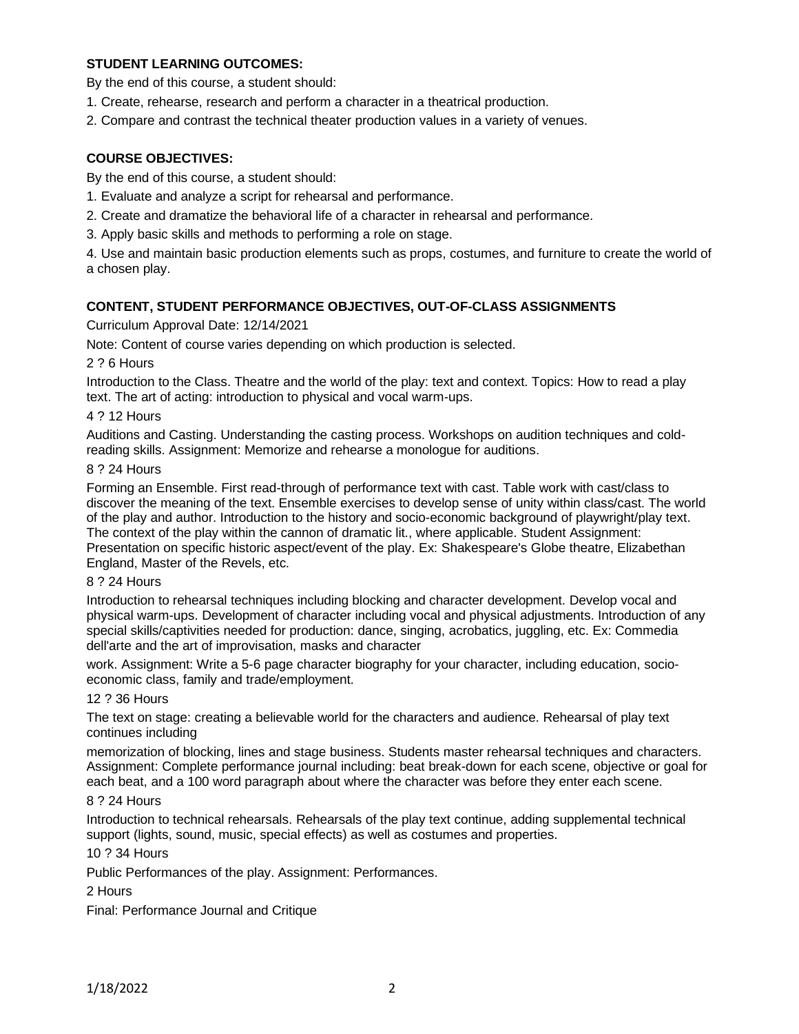# **STUDENT LEARNING OUTCOMES:**

By the end of this course, a student should:

- 1. Create, rehearse, research and perform a character in a theatrical production.
- 2. Compare and contrast the technical theater production values in a variety of venues.

## **COURSE OBJECTIVES:**

By the end of this course, a student should:

- 1. Evaluate and analyze a script for rehearsal and performance.
- 2. Create and dramatize the behavioral life of a character in rehearsal and performance.
- 3. Apply basic skills and methods to performing a role on stage.

4. Use and maintain basic production elements such as props, costumes, and furniture to create the world of a chosen play.

#### **CONTENT, STUDENT PERFORMANCE OBJECTIVES, OUT-OF-CLASS ASSIGNMENTS**

### Curriculum Approval Date: 12/14/2021

Note: Content of course varies depending on which production is selected.

2 ? 6 Hours

Introduction to the Class. Theatre and the world of the play: text and context. Topics: How to read a play text. The art of acting: introduction to physical and vocal warm-ups.

#### 4 ? 12 Hours

Auditions and Casting. Understanding the casting process. Workshops on audition techniques and coldreading skills. Assignment: Memorize and rehearse a monologue for auditions.

#### 8 ? 24 Hours

Forming an Ensemble. First read-through of performance text with cast. Table work with cast/class to discover the meaning of the text. Ensemble exercises to develop sense of unity within class/cast. The world of the play and author. Introduction to the history and socio-economic background of playwright/play text. The context of the play within the cannon of dramatic lit., where applicable. Student Assignment: Presentation on specific historic aspect/event of the play. Ex: Shakespeare's Globe theatre, Elizabethan England, Master of the Revels, etc.

### 8 ? 24 Hours

Introduction to rehearsal techniques including blocking and character development. Develop vocal and physical warm-ups. Development of character including vocal and physical adjustments. Introduction of any special skills/captivities needed for production: dance, singing, acrobatics, juggling, etc. Ex: Commedia dell'arte and the art of improvisation, masks and character

work. Assignment: Write a 5-6 page character biography for your character, including education, socioeconomic class, family and trade/employment.

### 12 ? 36 Hours

The text on stage: creating a believable world for the characters and audience. Rehearsal of play text continues including

memorization of blocking, lines and stage business. Students master rehearsal techniques and characters. Assignment: Complete performance journal including: beat break-down for each scene, objective or goal for each beat, and a 100 word paragraph about where the character was before they enter each scene.

#### 8 ? 24 Hours

Introduction to technical rehearsals. Rehearsals of the play text continue, adding supplemental technical support (lights, sound, music, special effects) as well as costumes and properties.

### 10 ? 34 Hours

Public Performances of the play. Assignment: Performances.

### 2 Hours

Final: Performance Journal and Critique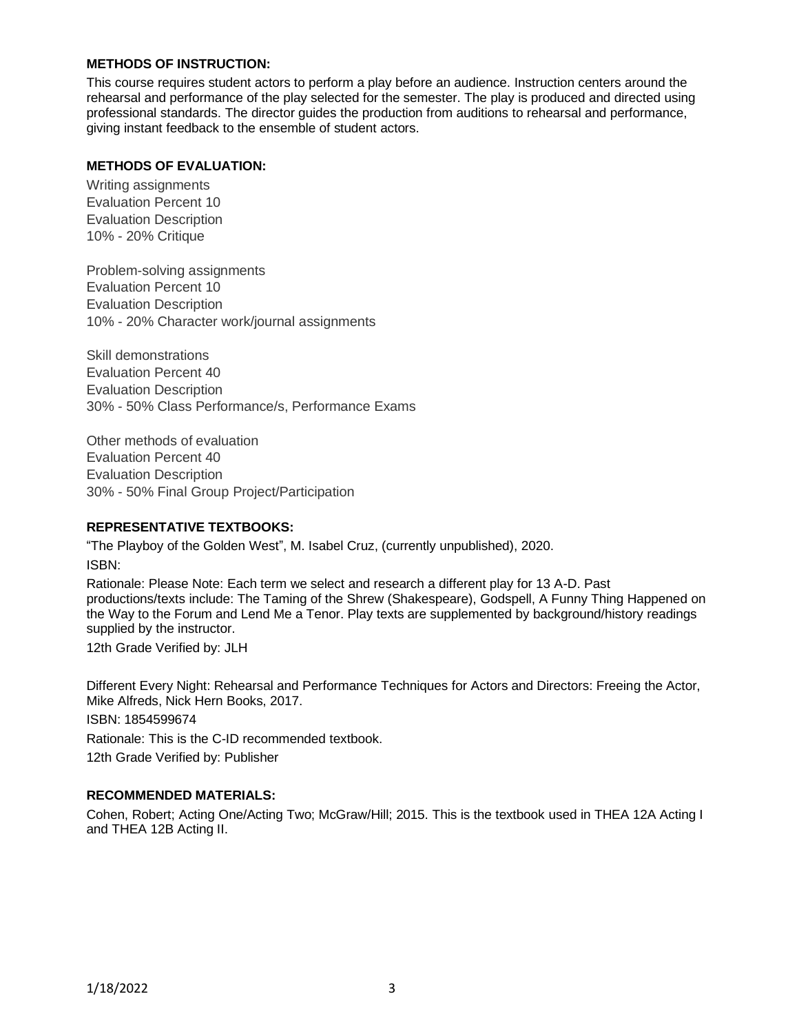# **METHODS OF INSTRUCTION:**

This course requires student actors to perform a play before an audience. Instruction centers around the rehearsal and performance of the play selected for the semester. The play is produced and directed using professional standards. The director guides the production from auditions to rehearsal and performance, giving instant feedback to the ensemble of student actors.

## **METHODS OF EVALUATION:**

Writing assignments Evaluation Percent 10 Evaluation Description 10% - 20% Critique

Problem-solving assignments Evaluation Percent 10 Evaluation Description 10% - 20% Character work/journal assignments

Skill demonstrations Evaluation Percent 40 Evaluation Description 30% - 50% Class Performance/s, Performance Exams

Other methods of evaluation Evaluation Percent 40 Evaluation Description 30% - 50% Final Group Project/Participation

## **REPRESENTATIVE TEXTBOOKS:**

"The Playboy of the Golden West", M. Isabel Cruz, (currently unpublished), 2020. ISBN:

Rationale: Please Note: Each term we select and research a different play for 13 A-D. Past productions/texts include: The Taming of the Shrew (Shakespeare), Godspell, A Funny Thing Happened on the Way to the Forum and Lend Me a Tenor. Play texts are supplemented by background/history readings supplied by the instructor.

12th Grade Verified by: JLH

Different Every Night: Rehearsal and Performance Techniques for Actors and Directors: Freeing the Actor, Mike Alfreds, Nick Hern Books, 2017.

ISBN: 1854599674 Rationale: This is the C-ID recommended textbook. 12th Grade Verified by: Publisher

## **RECOMMENDED MATERIALS:**

Cohen, Robert; Acting One/Acting Two; McGraw/Hill; 2015. This is the textbook used in THEA 12A Acting I and THEA 12B Acting II.